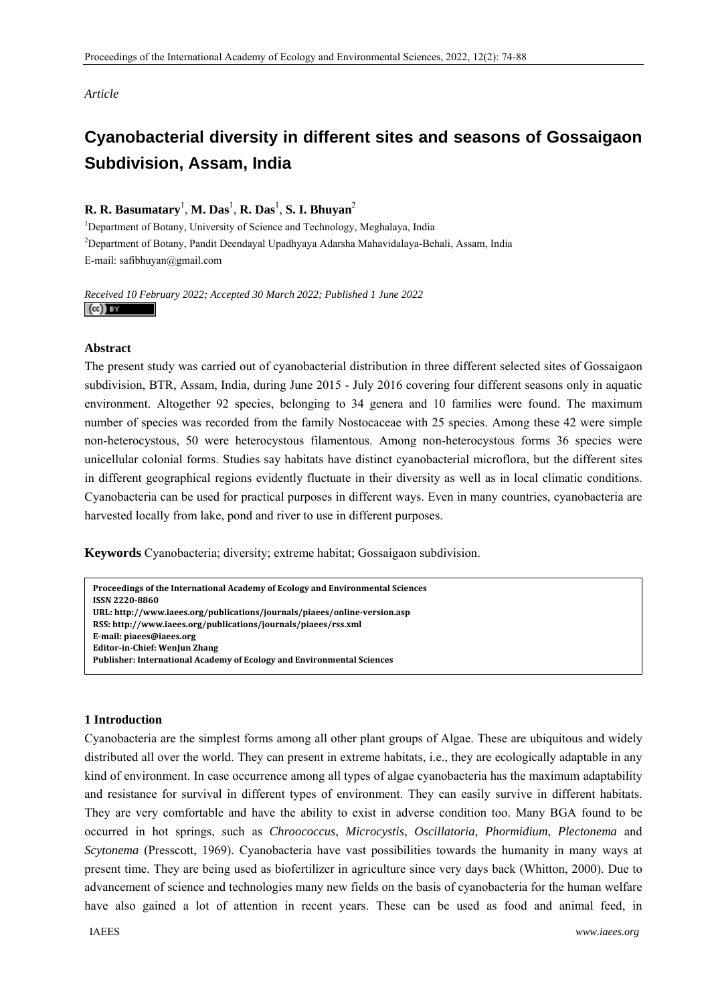*Article* 

# **Cyanobacterial diversity in different sites and seasons of Gossaigaon Subdivision, Assam, India**

# **R. R. Basumatary**<sup>1</sup> , **M. Das**<sup>1</sup> , **R. Das**<sup>1</sup> , **S. I. Bhuyan**<sup>2</sup>

<sup>1</sup>Department of Botany, University of Science and Technology, Meghalaya, India 2 Department of Botany, Pandit Deendayal Upadhyaya Adarsha Mahavidalaya-Behali, Assam, India E-mail: safibhuyan@gmail.com

# *Received 10 February 2022; Accepted 30 March 2022; Published 1 June 2022*   $(cc)$  av

# **Abstract**

The present study was carried out of cyanobacterial distribution in three different selected sites of Gossaigaon subdivision, BTR, Assam, India, during June 2015 - July 2016 covering four different seasons only in aquatic environment. Altogether 92 species, belonging to 34 genera and 10 families were found. The maximum number of species was recorded from the family Nostocaceae with 25 species. Among these 42 were simple non-heterocystous, 50 were heterocystous filamentous. Among non-heterocystous forms 36 species were unicellular colonial forms. Studies say habitats have distinct cyanobacterial microflora, but the different sites in different geographical regions evidently fluctuate in their diversity as well as in local climatic conditions. Cyanobacteria can be used for practical purposes in different ways. Even in many countries, cyanobacteria are harvested locally from lake, pond and river to use in different purposes.

**Keywords** Cyanobacteria; diversity; extreme habitat; Gossaigaon subdivision.

```
1 Introduction 
EditorinChief: WenJun Zhang
 Proceedings of the International Academy of Ecology and Environmental Sciences   
 ISSN 22208860  
 URL: http://www.iaees.org/publications/journals/piaees/onlineversion.asp
 RSS: http://www.iaees.org/publications/journals/piaees/rss.xml
 Email: piaees@iaees.org
 Publisher: International Academy of Ecology and Environmental Sciences
```
# **1 Introduction**

Cyanobacteria are the simplest forms among all other plant groups of Algae. These are ubiquitous and widely distributed all over the world. They can present in extreme habitats, i.e., they are ecologically adaptable in any kind of environment. In case occurrence among all types of algae cyanobacteria has the maximum adaptability and resistance for survival in different types of environment. They can easily survive in different habitats. They are very comfortable and have the ability to exist in adverse condition too. Many BGA found to be occurred in hot springs, such as *Chroococcus*, *Microcystis*, *Oscillatoria*, *Phormidium*, *Plectonema* and *Scytonema* (Presscott, 1969). Cyanobacteria have vast possibilities towards the humanity in many ways at present time. They are being used as biofertilizer in agriculture since very days back (Whitton, 2000). Due to advancement of science and technologies many new fields on the basis of cyanobacteria for the human welfare have also gained a lot of attention in recent years. These can be used as food and animal feed, in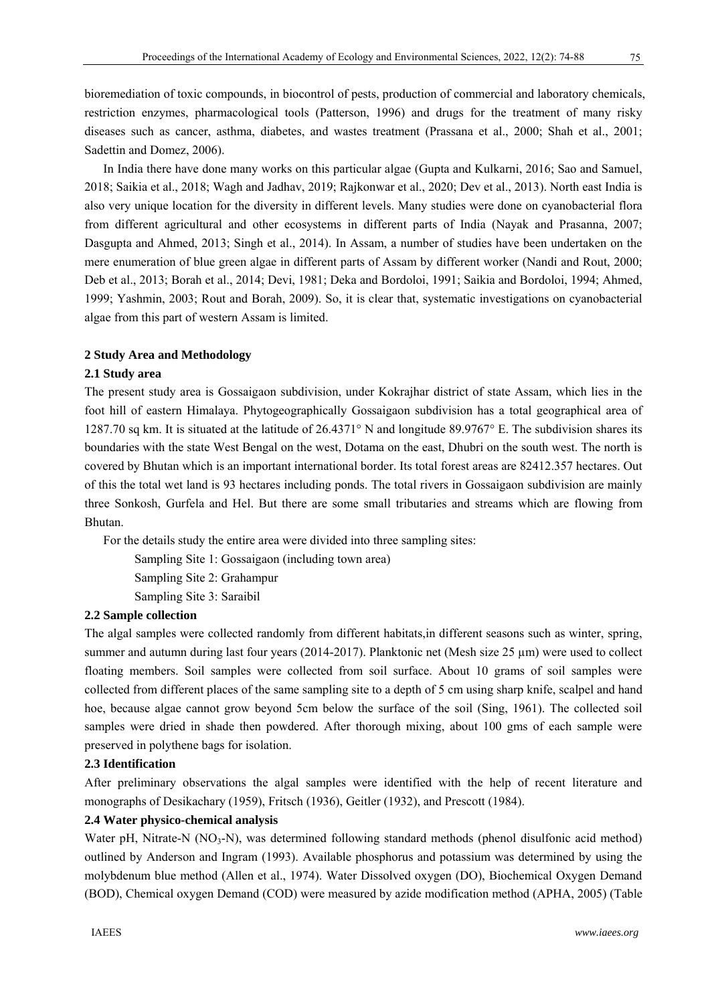bioremediation of toxic compounds, in biocontrol of pests, production of commercial and laboratory chemicals, restriction enzymes, pharmacological tools (Patterson, 1996) and drugs for the treatment of many risky diseases such as cancer, asthma, diabetes, and wastes treatment (Prassana et al., 2000; Shah et al., 2001; Sadettin and Domez, 2006).

In India there have done many works on this particular algae (Gupta and Kulkarni, 2016; Sao and Samuel, 2018; Saikia et al., 2018; Wagh and Jadhav, 2019; Rajkonwar et al., 2020; Dev et al., 2013). North east India is also very unique location for the diversity in different levels. Many studies were done on cyanobacterial flora from different agricultural and other ecosystems in different parts of India (Nayak and Prasanna, 2007; Dasgupta and Ahmed, 2013; Singh et al., 2014). In Assam, a number of studies have been undertaken on the mere enumeration of blue green algae in different parts of Assam by different worker (Nandi and Rout, 2000; Deb et al., 2013; Borah et al., 2014; Devi, 1981; Deka and Bordoloi, 1991; Saikia and Bordoloi, 1994; Ahmed, 1999; Yashmin, 2003; Rout and Borah, 2009). So, it is clear that, systematic investigations on cyanobacterial algae from this part of western Assam is limited.

#### **2 Study Area and Methodology**

#### **2.1 Study area**

The present study area is Gossaigaon subdivision, under Kokrajhar district of state Assam, which lies in the foot hill of eastern Himalaya. Phytogeographically Gossaigaon subdivision has a total geographical area of 1287.70 sq km. It is situated at the latitude of 26.4371° N and longitude 89.9767° E. The subdivision shares its boundaries with the state West Bengal on the west, Dotama on the east, Dhubri on the south west. The north is covered by Bhutan which is an important international border. Its total forest areas are 82412.357 hectares. Out of this the total wet land is 93 hectares including ponds. The total rivers in Gossaigaon subdivision are mainly three Sonkosh, Gurfela and Hel. But there are some small tributaries and streams which are flowing from Bhutan.

For the details study the entire area were divided into three sampling sites:

Sampling Site 1: Gossaigaon (including town area) Sampling Site 2: Grahampur Sampling Site 3: Saraibil

# **2.2 Sample collection**

The algal samples were collected randomly from different habitats,in different seasons such as winter, spring, summer and autumn during last four years (2014-2017). Planktonic net (Mesh size 25 µm) were used to collect floating members. Soil samples were collected from soil surface. About 10 grams of soil samples were collected from different places of the same sampling site to a depth of 5 cm using sharp knife, scalpel and hand hoe, because algae cannot grow beyond 5cm below the surface of the soil (Sing, 1961). The collected soil samples were dried in shade then powdered. After thorough mixing, about 100 gms of each sample were preserved in polythene bags for isolation.

## **2.3 Identification**

After preliminary observations the algal samples were identified with the help of recent literature and monographs of Desikachary (1959), Fritsch (1936), Geitler (1932), and Prescott (1984).

## **2.4 Water physico-chemical analysis**

Water pH, Nitrate-N  $(NO_3-N)$ , was determined following standard methods (phenol disulfonic acid method) outlined by Anderson and Ingram (1993). Available phosphorus and potassium was determined by using the molybdenum blue method (Allen et al., 1974). Water Dissolved oxygen (DO), Biochemical Oxygen Demand (BOD), Chemical oxygen Demand (COD) were measured by azide modification method (APHA, 2005) (Table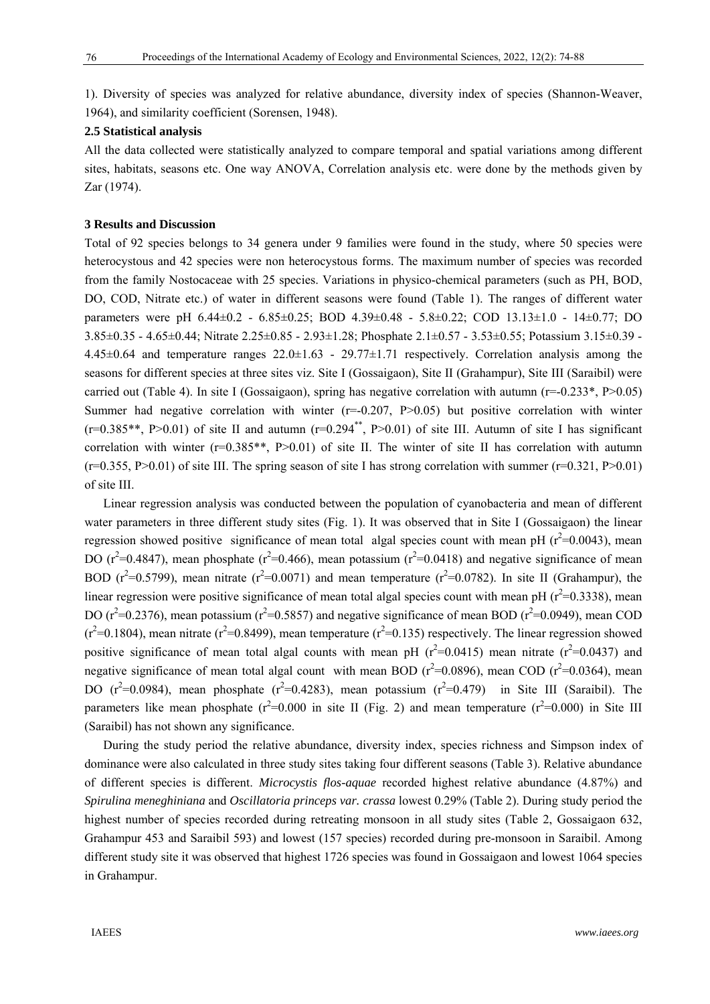1). Diversity of species was analyzed for relative abundance, diversity index of species (Shannon-Weaver, 1964), and similarity coefficient (Sorensen, 1948).

## **2.5 Statistical analysis**

All the data collected were statistically analyzed to compare temporal and spatial variations among different sites, habitats, seasons etc. One way ANOVA, Correlation analysis etc. were done by the methods given by Zar (1974).

## **3 Results and Discussion**

Total of 92 species belongs to 34 genera under 9 families were found in the study, where 50 species were heterocystous and 42 species were non heterocystous forms. The maximum number of species was recorded from the family Nostocaceae with 25 species. Variations in physico-chemical parameters (such as PH, BOD, DO, COD, Nitrate etc.) of water in different seasons were found (Table 1). The ranges of different water parameters were pH 6.44±0.2 - 6.85±0.25; BOD 4.39±0.48 - 5.8±0.22; COD 13.13±1.0 - 14±0.77; DO 3.85±0.35 - 4.65±0.44; Nitrate 2.25±0.85 - 2.93±1.28; Phosphate 2.1±0.57 - 3.53±0.55; Potassium 3.15±0.39 -  $4.45\pm0.64$  and temperature ranges  $22.0\pm1.63$  -  $29.77\pm1.71$  respectively. Correlation analysis among the seasons for different species at three sites viz. Site I (Gossaigaon), Site II (Grahampur), Site III (Saraibil) were carried out (Table 4). In site I (Gossaigaon), spring has negative correlation with autumn ( $r=-0.233^*$ ,  $P>0.05$ ) Summer had negative correlation with winter  $(r=0.207, P>0.05)$  but positive correlation with winter  $(r=0.385**, P>0.01)$  of site II and autumn  $(r=0.294**, P>0.01)$  of site III. Autumn of site I has significant correlation with winter ( $r=0.385**$ ,  $P>0.01$ ) of site II. The winter of site II has correlation with autumn  $(r=0.355, P>0.01)$  of site III. The spring season of site I has strong correlation with summer  $(r=0.321, P>0.01)$ of site III.

Linear regression analysis was conducted between the population of cyanobacteria and mean of different water parameters in three different study sites (Fig. 1). It was observed that in Site I (Gossaigaon) the linear regression showed positive significance of mean total algal species count with mean pH ( $r^2$ =0.0043), mean DO ( $r^2$ =0.4847), mean phosphate ( $r^2$ =0.466), mean potassium ( $r^2$ =0.0418) and negative significance of mean BOD ( $r^2$ =0.5799), mean nitrate ( $r^2$ =0.0071) and mean temperature ( $r^2$ =0.0782). In site II (Grahampur), the linear regression were positive significance of mean total algal species count with mean pH  $(r^2=0.3338)$ , mean DO ( $r^2$ =0.2376), mean potassium ( $r^2$ =0.5857) and negative significance of mean BOD ( $r^2$ =0.0949), mean COD  $(r^2=0.1804)$ , mean nitrate  $(r^2=0.8499)$ , mean temperature  $(r^2=0.135)$  respectively. The linear regression showed positive significance of mean total algal counts with mean pH ( $r^2$ =0.0415) mean nitrate ( $r^2$ =0.0437) and negative significance of mean total algal count with mean BOD ( $r^2$ =0.0896), mean COD ( $r^2$ =0.0364), mean DO  $(r^2=0.0984)$ , mean phosphate  $(r^2=0.4283)$ , mean potassium  $(r^2=0.479)$  in Site III (Saraibil). The parameters like mean phosphate  $(r^2=0.000)$  in site II (Fig. 2) and mean temperature  $(r^2=0.000)$  in Site III (Saraibil) has not shown any significance.

During the study period the relative abundance, diversity index, species richness and Simpson index of dominance were also calculated in three study sites taking four different seasons (Table 3). Relative abundance of different species is different. *Microcystis flos-aquae* recorded highest relative abundance (4.87%) and *Spirulina meneghiniana* and *Oscillatoria princeps var. crassa* lowest 0.29% (Table 2). During study period the highest number of species recorded during retreating monsoon in all study sites (Table 2, Gossaigaon 632, Grahampur 453 and Saraibil 593) and lowest (157 species) recorded during pre-monsoon in Saraibil. Among different study site it was observed that highest 1726 species was found in Gossaigaon and lowest 1064 species in Grahampur.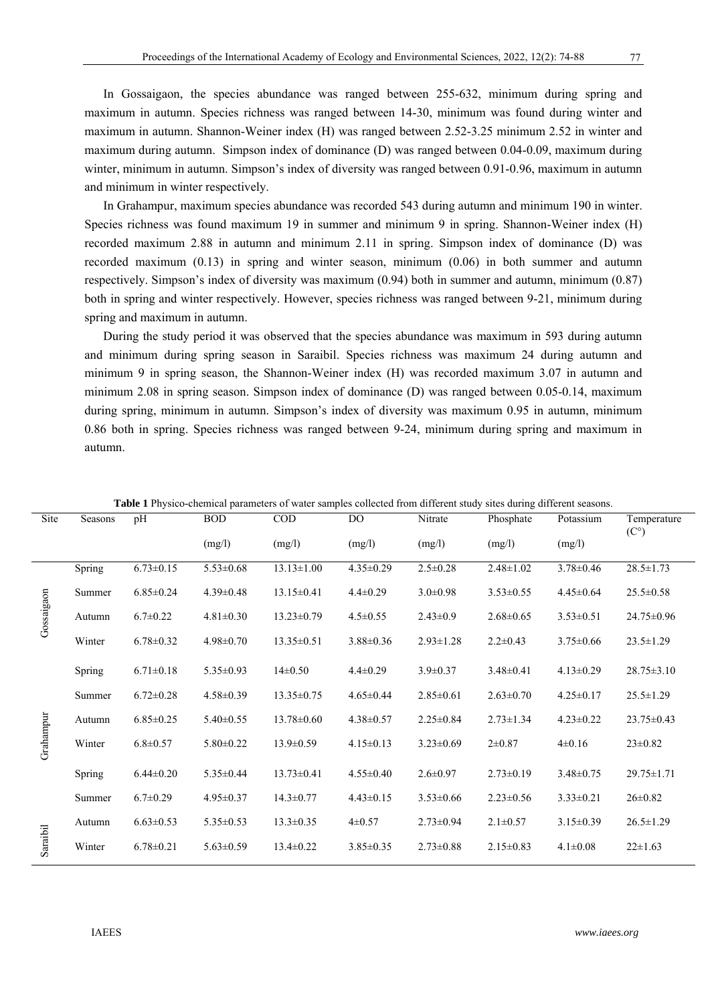In Gossaigaon, the species abundance was ranged between 255-632, minimum during spring and maximum in autumn. Species richness was ranged between 14-30, minimum was found during winter and maximum in autumn. Shannon-Weiner index (H) was ranged between 2.52-3.25 minimum 2.52 in winter and maximum during autumn. Simpson index of dominance (D) was ranged between 0.04-0.09, maximum during winter, minimum in autumn. Simpson's index of diversity was ranged between 0.91-0.96, maximum in autumn and minimum in winter respectively.

In Grahampur, maximum species abundance was recorded 543 during autumn and minimum 190 in winter. Species richness was found maximum 19 in summer and minimum 9 in spring. Shannon-Weiner index (H) recorded maximum 2.88 in autumn and minimum 2.11 in spring. Simpson index of dominance (D) was recorded maximum (0.13) in spring and winter season, minimum (0.06) in both summer and autumn respectively. Simpson's index of diversity was maximum (0.94) both in summer and autumn, minimum (0.87) both in spring and winter respectively. However, species richness was ranged between 9-21, minimum during spring and maximum in autumn.

During the study period it was observed that the species abundance was maximum in 593 during autumn and minimum during spring season in Saraibil. Species richness was maximum 24 during autumn and minimum 9 in spring season, the Shannon-Weiner index (H) was recorded maximum 3.07 in autumn and minimum 2.08 in spring season. Simpson index of dominance (D) was ranged between 0.05-0.14, maximum during spring, minimum in autumn. Simpson's index of diversity was maximum 0.95 in autumn, minimum 0.86 both in spring. Species richness was ranged between 9-24, minimum during spring and maximum in autumn.

| Site       | Seasons | pH              | <b>BOD</b>      | COD              | DO              | Nitrate         | Phosphate       | Potassium       | Temperature<br>$(C^{\circ})$ |
|------------|---------|-----------------|-----------------|------------------|-----------------|-----------------|-----------------|-----------------|------------------------------|
|            |         |                 | (mg/l)          | (mg/l)           | (mg/l)          | (mg/l)          | (mg/l)          | (mg/l)          |                              |
|            | Spring  | $6.73 \pm 0.15$ | $5.53 \pm 0.68$ | $13.13 \pm 1.00$ | $4.35 \pm 0.29$ | $2.5 \pm 0.28$  | $2.48 \pm 1.02$ | $3.78 \pm 0.46$ | $28.5 \pm 1.73$              |
|            | Summer  | $6.85 \pm 0.24$ | $4.39 \pm 0.48$ | $13.15 \pm 0.41$ | $4.4 \pm 0.29$  | $3.0 \pm 0.98$  | $3.53 \pm 0.55$ | $4.45 \pm 0.64$ | $25.5 \pm 0.58$              |
| Gossaigaon | Autumn  | $6.7 \pm 0.22$  | $4.81 \pm 0.30$ | $13.23 \pm 0.79$ | $4.5 \pm 0.55$  | $2.43 \pm 0.9$  | $2.68 \pm 0.65$ | $3.53 \pm 0.51$ | 24.75 ± 0.96                 |
|            | Winter  | $6.78 \pm 0.32$ | $4.98 \pm 0.70$ | $13.35 \pm 0.51$ | $3.88 \pm 0.36$ | $2.93 \pm 1.28$ | $2.2 \pm 0.43$  | $3.75 \pm 0.66$ | $23.5 \pm 1.29$              |
|            | Spring  | $6.71 \pm 0.18$ | $5.35 \pm 0.93$ | $14\pm0.50$      | $4.4 \pm 0.29$  | $3.9 \pm 0.37$  | $3.48 \pm 0.41$ | $4.13 \pm 0.29$ | $28.75 \pm 3.10$             |
|            | Summer  | $6.72 \pm 0.28$ | $4.58 \pm 0.39$ | $13.35 \pm 0.75$ | $4.65 \pm 0.44$ | $2.85 \pm 0.61$ | $2.63 \pm 0.70$ | $4.25 \pm 0.17$ | $25.5 \pm 1.29$              |
|            | Autumn  | $6.85 \pm 0.25$ | $5.40 \pm 0.55$ | $13.78 \pm 0.60$ | $4.38 \pm 0.57$ | $2.25 \pm 0.84$ | $2.73 \pm 1.34$ | $4.23 \pm 0.22$ | $23.75 \pm 0.43$             |
| Grahampur  | Winter  | $6.8 \pm 0.57$  | $5.80 \pm 0.22$ | $13.9 \pm 0.59$  | $4.15 \pm 0.13$ | $3.23 \pm 0.69$ | $2\pm 0.87$     | $4\pm 0.16$     | $23 \pm 0.82$                |
|            | Spring  | $6.44 \pm 0.20$ | $5.35 \pm 0.44$ | $13.73 \pm 0.41$ | $4.55 \pm 0.40$ | $2.6 \pm 0.97$  | $2.73 \pm 0.19$ | $3.48 \pm 0.75$ | $29.75 \pm 1.71$             |
|            | Summer  | $6.7 \pm 0.29$  | $4.95 \pm 0.37$ | $14.3 \pm 0.77$  | $4.43 \pm 0.15$ | $3.53 \pm 0.66$ | $2.23 \pm 0.56$ | $3.33 \pm 0.21$ | $26 \pm 0.82$                |
|            | Autumn  | $6.63 \pm 0.53$ | $5.35 \pm 0.53$ | $13.3 \pm 0.35$  | $4\pm 0.57$     | $2.73 \pm 0.94$ | $2.1 \pm 0.57$  | $3.15 \pm 0.39$ | $26.5 \pm 1.29$              |
| Saraibil   | Winter  | $6.78 \pm 0.21$ | $5.63 \pm 0.59$ | $13.4 \pm 0.22$  | $3.85 \pm 0.35$ | $2.73 \pm 0.88$ | $2.15 \pm 0.83$ | $4.1 \pm 0.08$  | $22 \pm 1.63$                |

**Table 1** Physico-chemical parameters of water samples collected from different study sites during different seasons.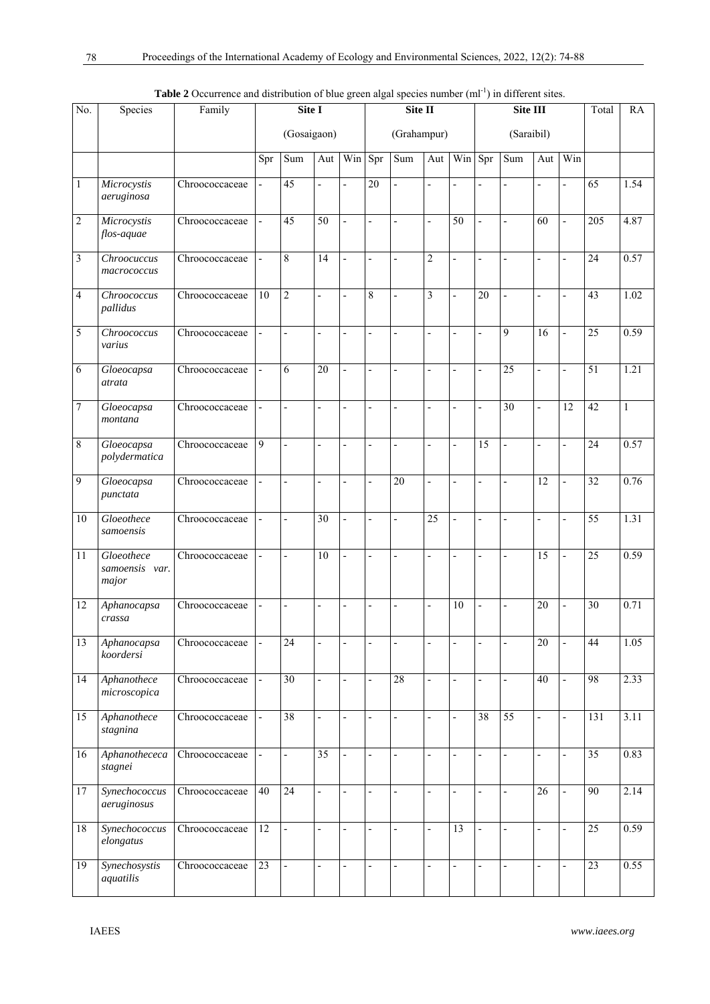| No.            | Species                               |                | Site I                   |                          |                          | Site II                  |                          |                          |                              |                          | <b>Table 2</b> Occurrence and distribution of blue green algal species number (m) in different sites.<br>Site III | Total                    | <b>RA</b>       |                          |                 |              |
|----------------|---------------------------------------|----------------|--------------------------|--------------------------|--------------------------|--------------------------|--------------------------|--------------------------|------------------------------|--------------------------|-------------------------------------------------------------------------------------------------------------------|--------------------------|-----------------|--------------------------|-----------------|--------------|
|                |                                       |                |                          | (Gosaigaon)              |                          |                          |                          | (Grahampur)              |                              |                          |                                                                                                                   | (Saraibil)               |                 |                          |                 |              |
|                |                                       |                | Spr                      | Sum                      | Aut                      | Win                      | Spr                      | Sum                      | Aut                          | Win                      | Spr                                                                                                               | Sum                      | Aut             | Win                      |                 |              |
| $\mathbf{1}$   | Microcystis<br>aeruginosa             | Chroococcaceae | $\overline{a}$           | 45                       | ÷,                       | $\overline{a}$           | 20                       | $\frac{1}{2}$            | $\frac{1}{2}$                | $\overline{\phantom{0}}$ | $\overline{a}$                                                                                                    | $\overline{a}$           | $\overline{a}$  | L,                       | 65              | 1.54         |
| $\overline{2}$ | Microcystis<br>flos-aquae             | Chroococcaceae | $\frac{1}{2}$            | 45                       | 50                       |                          | $\overline{a}$           |                          | $\qquad \qquad \blacksquare$ | 50                       |                                                                                                                   | $\overline{a}$           | 60              |                          | 205             | 4.87         |
| 3              | Chroocuccus<br>macrococcus            | Chroococcaceae | $\frac{1}{2}$            | 8                        | 14                       | $\overline{a}$           | $\frac{1}{2}$            | $\frac{1}{2}$            | $\overline{c}$               | $\overline{\phantom{0}}$ | $\overline{a}$                                                                                                    | $\overline{a}$           | $\overline{a}$  | L,                       | 24              | 0.57         |
| $\overline{4}$ | Chroococcus<br>pallidus               | Chroococcaceae | 10                       | $\overline{2}$           | $\overline{a}$           | $\overline{a}$           | $\,8\,$                  | $\overline{a}$           | 3                            | $\overline{a}$           | $\overline{20}$                                                                                                   | $\overline{a}$           | $\frac{1}{2}$   | $\overline{a}$           | 43              | 1.02         |
| 5              | Chroococcus<br>varius                 | Chroococcaceae | $\frac{1}{2}$            | $\overline{a}$           | $\overline{\phantom{0}}$ | $\overline{a}$           | $\overline{a}$           | $\overline{a}$           | $\frac{1}{2}$                | L,                       | $\overline{a}$                                                                                                    | 9                        | 16              |                          | $\overline{25}$ | 0.59         |
| 6              | Gloeocapsa<br>atrata                  | Chroococcaceae | $\overline{\phantom{a}}$ | 6                        | $\overline{20}$          | $\overline{a}$           | $\frac{1}{2}$            | $\overline{a}$           | $\frac{1}{2}$                | $\overline{a}$           | $\overline{a}$                                                                                                    | 25                       | $\overline{a}$  | L,                       | 51              | 1.21         |
| $\overline{7}$ | Gloeocapsa<br>montana                 | Chroococcaceae |                          |                          | $\overline{\phantom{0}}$ |                          | -                        |                          | $\overline{a}$               | $\overline{a}$           | $\overline{a}$                                                                                                    | 30                       | $\overline{a}$  | 12                       | 42              | $\mathbf{1}$ |
| 8              | Gloeocapsa<br>polydermatica           | Chroococcaceae | $\overline{9}$           | $\overline{a}$           | $\overline{\phantom{0}}$ | $\overline{\phantom{0}}$ | $\frac{1}{2}$            | $\frac{1}{2}$            | $\frac{1}{2}$                | $\overline{\phantom{0}}$ | 15                                                                                                                | $\overline{a}$           | $\overline{a}$  | L,                       | $\overline{24}$ | 0.57         |
| 9              | Gloeocapsa<br>punctata                | Chroococcaceae | $\overline{\phantom{a}}$ | $\overline{a}$           | $\overline{\phantom{0}}$ | $\overline{a}$           | $\frac{1}{2}$            | $\overline{20}$          | $\overline{a}$               | $\overline{a}$           | $\overline{a}$                                                                                                    | $\overline{a}$           | 12              |                          | 32              | 0.76         |
| 10             | Gloeothece<br>samoensis               | Chroococcaceae | $\frac{1}{2}$            | $\overline{a}$           | 30                       | $\overline{a}$           | L,                       | $\overline{a}$           | $\overline{25}$              | L,                       | $\overline{a}$                                                                                                    | $\overline{a}$           | L,              |                          | $\overline{55}$ | 1.31         |
| 11             | Gloeothece<br>samoensis var.<br>major | Chroococcaceae | $\overline{\phantom{a}}$ | $\overline{a}$           | 10                       | $\overline{a}$           | $\overline{a}$           | $\overline{a}$           | $\frac{1}{2}$                | $\overline{a}$           | $\overline{a}$                                                                                                    | $\overline{a}$           | $\overline{15}$ | $\overline{a}$           | $\overline{25}$ | 0.59         |
| 12             | Aphanocapsa<br>crassa                 | Chroococcaceae | $\overline{\phantom{a}}$ | $\overline{a}$           | $\overline{\phantom{a}}$ | $\overline{a}$           | $\overline{\phantom{a}}$ | $\frac{1}{2}$            | $\qquad \qquad \blacksquare$ | 10                       | $\qquad \qquad \blacksquare$                                                                                      | $\overline{\phantom{0}}$ | 20              |                          | 30              | 0.71         |
| 13             | Aphanocapsa<br>koordersi              | Chroococcaceae | $\blacksquare$           | 24                       |                          |                          |                          |                          |                              |                          |                                                                                                                   |                          | 20              |                          | 44              | 1.05         |
| 14             | Aphanothece<br>microscopica           | Chroococcaceae |                          | $\overline{30}$          | $\overline{a}$           | $\overline{a}$           | $\frac{1}{2}$            | $\overline{28}$          | $\overline{a}$               | $\overline{a}$           |                                                                                                                   | $\overline{a}$           | $\overline{40}$ | $\overline{a}$           | 98              | 2.33         |
| 15             | Aphanothece<br>stagnina               | Chroococcaceae | $\blacksquare$           | $\overline{38}$          | $\overline{\phantom{a}}$ | $\frac{1}{2}$            | $\overline{\phantom{a}}$ | $\overline{\phantom{a}}$ | $\overline{\phantom{a}}$     | $\frac{1}{2}$            | 38                                                                                                                | 55                       | $\frac{1}{2}$   | $\overline{a}$           | 131             | 3.11         |
| 16             | Aphanothececa<br>stagnei              | Chroococcaceae | $\frac{1}{2}$            | $\overline{\phantom{0}}$ | $\overline{35}$          | $\overline{a}$           | $\blacksquare$           | $\frac{1}{2}$            | $\overline{\phantom{a}}$     | $\overline{\phantom{0}}$ | $\frac{1}{2}$                                                                                                     | $\frac{1}{2}$            | $\frac{1}{2}$   | $\overline{\phantom{a}}$ | 35              | 0.83         |
| 17             | Synechococcus<br>aeruginosus          | Chroococcaceae | 40                       | $\overline{24}$          | $\blacksquare$           | $\overline{a}$           | $\frac{1}{2}$            | $\overline{\phantom{a}}$ | $\overline{\phantom{a}}$     | $\overline{\phantom{0}}$ | $\overline{\phantom{0}}$                                                                                          | $\overline{a}$           | $\overline{26}$ | $\overline{\phantom{a}}$ | 90              | 2.14         |
| 18             | Synechococcus<br>elongatus            | Chroococcaceae | $\overline{12}$          | $\overline{a}$           | $\overline{\phantom{a}}$ | $\overline{a}$           | $\overline{\phantom{a}}$ | $\overline{a}$           | $\frac{1}{2}$                | $\overline{13}$          | $\overline{a}$                                                                                                    | $\overline{a}$           | $\frac{1}{2}$   | $\overline{a}$           | $\overline{25}$ | 0.59         |
| 19             | Synechosystis<br>aquatilis            | Chroococcaceae | 23                       | $\overline{a}$           | $\overline{\phantom{0}}$ | $\overline{a}$           | $\frac{1}{2}$            | $\frac{1}{2}$            | $\overline{\phantom{a}}$     | $\overline{a}$           | $\overline{a}$                                                                                                    | $\overline{a}$           | $\frac{1}{2}$   | L,                       | $\overline{23}$ | 0.55         |

**Table 2** Occurrence and distribution of blue green algal species number (ml<sup>-1</sup>) in different sites.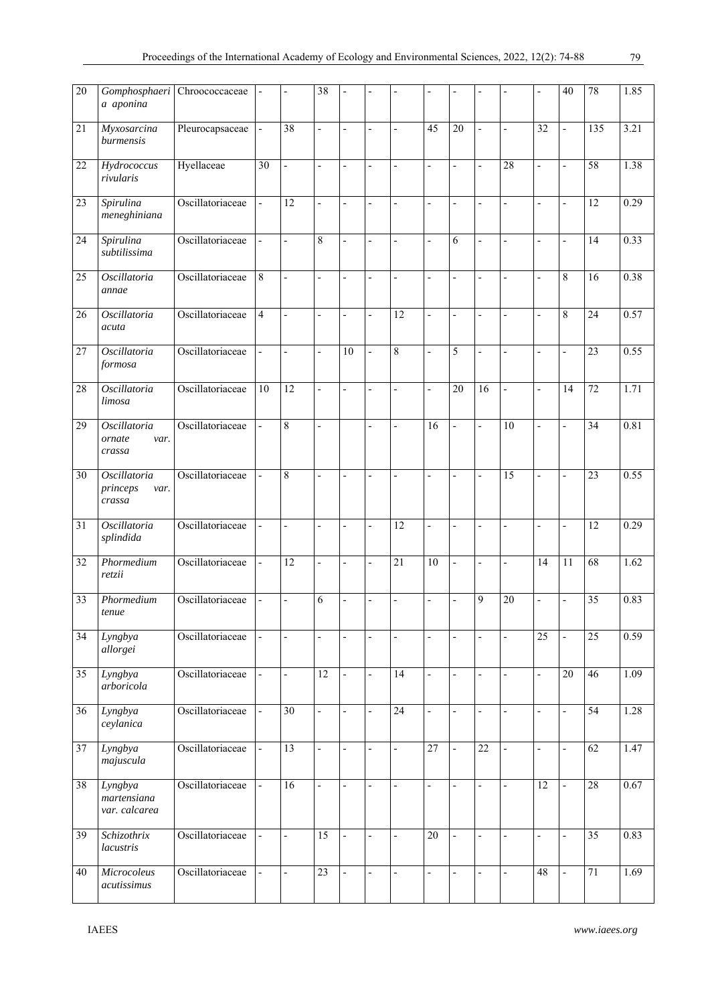| $\overline{20}$ | Gomphosphaeri<br>a aponina                        | Chroococcaceae   | $\frac{1}{2}$            |                 | 38                           |                          |                              |                 |                              |                          |                              |                          | ÷,                           | 40                       | 78              | 1.85 |
|-----------------|---------------------------------------------------|------------------|--------------------------|-----------------|------------------------------|--------------------------|------------------------------|-----------------|------------------------------|--------------------------|------------------------------|--------------------------|------------------------------|--------------------------|-----------------|------|
| 21              | Myxosarcina<br>burmensis                          | Pleurocapsaceae  | $\frac{1}{2}$            | 38              | $\overline{a}$               | $\overline{a}$           | $\overline{a}$               |                 | 45                           | $\overline{20}$          | $\overline{a}$               | $\overline{a}$           | 32                           | $\overline{a}$           | 135             | 3.21 |
| 22              | Hydrococcus<br>rivularis                          | Hyellaceae       | $\overline{30}$          | L,              | $\overline{\phantom{a}}$     |                          | ÷,                           |                 | $\overline{a}$               | L,                       | $\overline{\phantom{a}}$     | 28                       | $\overline{\phantom{a}}$     | Ĭ.                       | 58              | 1.38 |
| 23              | Spirulina<br>meneghiniana                         | Oscillatoriaceae | $\overline{\phantom{a}}$ | 12              | L,                           |                          | L,                           |                 | $\overline{a}$               | $\overline{\phantom{a}}$ | $\overline{a}$               | $\overline{a}$           | $\overline{\phantom{0}}$     |                          | 12              | 0.29 |
| 24              | Spirulina<br>subtilissima                         | Oscillatoriaceae | $\overline{\phantom{a}}$ | $\overline{a}$  | 8                            | $\overline{a}$           | $\frac{1}{2}$                |                 | $\overline{a}$               | 6                        | $\overline{a}$               | $\overline{a}$           | $\overline{\phantom{a}}$     | $\overline{\phantom{a}}$ | 14              | 0.33 |
| 25              | Oscillatoria<br>annae                             | Oscillatoriaceae | 8                        | $\overline{a}$  | $\overline{a}$               | $\overline{a}$           | $\overline{a}$               | $\overline{a}$  | $\overline{a}$               | $\overline{\phantom{a}}$ | $\overline{a}$               | $\overline{a}$           | $\overline{a}$               | 8                        | 16              | 0.38 |
| 26              | Oscillatoria<br>acuta                             | Oscillatoriaceae | $\overline{4}$           |                 | L,                           | $\overline{a}$           | $\overline{a}$               | 12              | L,                           | $\overline{a}$           | $\overline{a}$               | $\overline{a}$           | $\overline{a}$               | 8                        | $\overline{24}$ | 0.57 |
| 27              | Oscillatoria<br>formosa                           | Oscillatoriaceae | $\frac{1}{2}$            |                 | $\qquad \qquad \blacksquare$ | 10                       | $\qquad \qquad \blacksquare$ | 8               | $\overline{a}$               | 5                        | $\overline{a}$               |                          | $\overline{\phantom{a}}$     | $\overline{a}$           | 23              | 0.55 |
| 28              | Oscillatoria<br>limosa                            | Oscillatoriaceae | 10                       | $\overline{12}$ | L,                           | $\overline{a}$           | L,                           |                 | $\frac{1}{2}$                | 20                       | 16                           | $\overline{a}$           | $\overline{\phantom{a}}$     | 14                       | 72              | 1.71 |
| 29              | Oscillatoria<br>ornate<br>var.<br>crassa          | Oscillatoriaceae | $\frac{1}{2}$            | 8               | L,                           |                          | $\overline{a}$               |                 | 16                           | $\overline{a}$           | $\frac{1}{2}$                | $\overline{10}$          | $\overline{\phantom{a}}$     | $\overline{a}$           | $\overline{34}$ | 0.81 |
| 30              | <i>Oscillatoria</i><br>princeps<br>var.<br>crassa | Oscillatoriaceae | L,                       | 8               | $\overline{a}$               |                          |                              |                 | $\overline{a}$               |                          | $\overline{a}$               | $\overline{15}$          | $\overline{\phantom{a}}$     |                          | 23              | 0.55 |
| 31              | Oscillatoria<br>splindida                         | Oscillatoriaceae | $\overline{a}$           | $\overline{a}$  | $\qquad \qquad \blacksquare$ | $\overline{a}$           | $\overline{a}$               | 12              | $\qquad \qquad \blacksquare$ | Ĭ.                       | $\overline{\phantom{a}}$     | $\overline{a}$           | $\qquad \qquad \blacksquare$ | $\overline{\phantom{0}}$ | 12              | 0.29 |
| 32              | Phormedium<br>retzii                              | Oscillatoriaceae | $\blacksquare$           | $\overline{12}$ | $\qquad \qquad \blacksquare$ | $\overline{a}$           | $\overline{\phantom{0}}$     | $\overline{21}$ | $\overline{10}$              | $\overline{\phantom{0}}$ | $\overline{\phantom{a}}$     | L,                       | $\overline{14}$              | 11                       | 68              | 1.62 |
| $\overline{33}$ | Phormedium<br>tenue                               | Oscillatoriaceae | $\frac{1}{2}$            |                 | 6                            |                          |                              |                 | ÷,                           |                          | 9                            | $\overline{20}$          | $\overline{a}$               |                          | $\overline{35}$ | 0.83 |
| 34              | Lyngbya<br>allorgei                               | Oscillatoriaceae | $\overline{\phantom{0}}$ |                 |                              |                          | $\overline{a}$               |                 | $\overline{\phantom{a}}$     | $\overline{\phantom{a}}$ | $\overline{a}$               |                          | $\overline{25}$              |                          | $\overline{25}$ | 0.59 |
| 35              | Lyngbya<br>arboricola                             | Oscillatoriaceae | $\overline{\phantom{a}}$ | $\overline{a}$  | 12                           | $\overline{\phantom{a}}$ | $\frac{1}{2}$                | 14              | $\overline{\phantom{a}}$     | $\overline{\phantom{a}}$ | $\overline{\phantom{a}}$     | $\overline{\phantom{a}}$ | $\overline{\phantom{a}}$     | 20                       | 46              | 1.09 |
| 36              | Lyngbya<br>ceylanica                              | Oscillatoriaceae | $\frac{1}{2}$            | 30              | $\qquad \qquad \blacksquare$ | $\overline{\phantom{a}}$ | $\overline{a}$               | 24              | $\overline{\phantom{a}}$     | $\overline{\phantom{a}}$ | $\qquad \qquad \blacksquare$ | $\overline{\phantom{a}}$ | $\overline{\phantom{a}}$     | $\overline{\phantom{a}}$ | 54              | 1.28 |
| 37              | Lyngbya<br>majuscula                              | Oscillatoriaceae | ÷,                       | $\overline{13}$ | $\overline{a}$               | $\overline{\phantom{0}}$ | $\qquad \qquad \blacksquare$ | $\overline{a}$  | $\overline{27}$              | $\frac{1}{2}$            | $\overline{22}$              | $\frac{1}{2}$            | $\blacksquare$               | $\overline{a}$           | 62              | 1.47 |
| $\overline{38}$ | Lyngbya<br>martensiana<br>var. calcarea           | Oscillatoriaceae | $\blacksquare$           | 16              | $\overline{a}$               |                          | $\overline{a}$               |                 | $\frac{1}{2}$                | $\overline{\phantom{a}}$ | $\overline{\phantom{a}}$     | $\frac{1}{2}$            | $\overline{12}$              | $\overline{a}$           | 28              | 0.67 |
| 39              | Schizothrix<br>lacustris                          | Oscillatoriaceae | $\frac{1}{2}$            | $\overline{a}$  | $\overline{15}$              | $\overline{a}$           | $\overline{a}$               | $\overline{a}$  | $\overline{20}$              | $\blacksquare$           | $\overline{a}$               | $\overline{a}$           | $\overline{\phantom{a}}$     | $\overline{a}$           | $\overline{35}$ | 0.83 |
| 40              | Microcoleus<br>acutissimus                        | Oscillatoriaceae | $\frac{1}{2}$            | $\overline{a}$  | $\overline{23}$              |                          | $\overline{a}$               |                 | $\overline{a}$               | $\overline{a}$           | $\overline{a}$               | $\overline{a}$           | 48                           | $\overline{a}$           | 71              | 1.69 |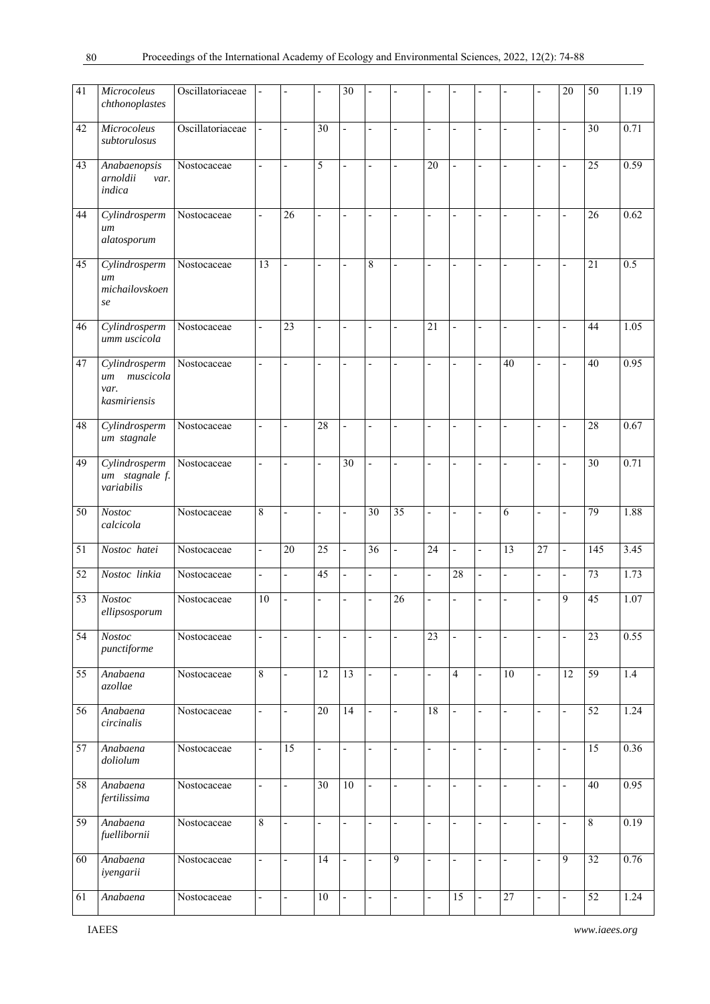| 41              | Microcoleus<br>chthonoplastes                            | Oscillatoriaceae | $\overline{\phantom{m}}$     |                              |                              | 30                       |                              |                          |                          |                          |                          |                              |                          | 20                       | 50              | 1.19 |
|-----------------|----------------------------------------------------------|------------------|------------------------------|------------------------------|------------------------------|--------------------------|------------------------------|--------------------------|--------------------------|--------------------------|--------------------------|------------------------------|--------------------------|--------------------------|-----------------|------|
| 42              | Microcoleus<br>subtorulosus                              | Oscillatoriaceae | $\frac{1}{2}$                |                              | 30                           |                          | $\overline{a}$               |                          | $\overline{a}$           | $\overline{\phantom{a}}$ | $\overline{a}$           | $\overline{a}$               | $\overline{\phantom{a}}$ | $\overline{a}$           | $\overline{30}$ | 0.71 |
| 43              | Anabaenopsis<br>arnoldii<br>var.<br>indica               | Nostocaceae      | $\overline{\phantom{a}}$     | $\overline{a}$               | 5                            | $\overline{a}$           | $\frac{1}{2}$                |                          | 20                       | $\overline{a}$           | $\overline{a}$           | $\overline{a}$               | $\overline{\phantom{a}}$ | $\overline{a}$           | 25              | 0.59 |
| 44              | Cylindrosperm<br>um<br>alatosporum                       | Nostocaceae      | $\overline{a}$               | $\overline{26}$              | L,                           | Ĭ.                       | $\overline{a}$               |                          | $\overline{a}$           | $\overline{\phantom{0}}$ | $\overline{a}$           | L,                           | $\overline{\phantom{a}}$ | $\overline{a}$           | 26              | 0.62 |
| 45              | Cylindrosperm<br>um<br>michailovskoen<br>se              | Nostocaceae      | 13                           | $\overline{a}$               | $\overline{a}$               | $\overline{a}$           | $\,$ $\,$                    |                          | $\overline{a}$           | $\overline{\phantom{a}}$ | $\overline{\phantom{a}}$ | L,                           | $\overline{\phantom{a}}$ | $\overline{\phantom{0}}$ | $\overline{21}$ | 0.5  |
| 46              | Cylindrosperm<br>umm uscicola                            | Nostocaceae      | $\overline{\phantom{a}}$     | 23                           | $\overline{a}$               | L,                       | $\overline{a}$               |                          | 21                       | L,                       | $\overline{a}$           |                              | $\overline{\phantom{a}}$ | $\overline{a}$           | 44              | 1.05 |
| 47              | Cylindrosperm<br>muscicola<br>um<br>var.<br>kasmiriensis | Nostocaceae      | $\frac{1}{2}$                | $\overline{a}$               | $\overline{a}$               | $\overline{a}$           | L,                           | $\overline{a}$           | $\overline{\phantom{a}}$ | $\overline{\phantom{a}}$ | $\overline{a}$           | 40                           | $\overline{\phantom{a}}$ | $\overline{\phantom{a}}$ | 40              | 0.95 |
| 48              | $\overline{Cylind}$ rosperm<br>um stagnale               | Nostocaceae      | $\overline{a}$               |                              | 28                           |                          | $\overline{a}$               |                          | $\overline{a}$           |                          | $\overline{a}$           |                              | $\overline{\phantom{a}}$ | $\overline{a}$           | 28              | 0.67 |
| 49              | Cylindrosperm<br>um stagnale f.<br>variabilis            | Nostocaceae      | $\overline{\phantom{a}}$     |                              | $\qquad \qquad \blacksquare$ | 30                       | $\overline{a}$               |                          | $\overline{\phantom{a}}$ | $\overline{a}$           | $\overline{\phantom{a}}$ | $\overline{a}$               | $\overline{\phantom{a}}$ | $\overline{a}$           | $\overline{30}$ | 0.71 |
| 50              | Nostoc<br>calcicola                                      | Nostocaceae      | 8                            |                              |                              | $\overline{a}$           | $\overline{30}$              | 35                       | L,                       | $\overline{a}$           | $\overline{a}$           | 6                            | $\overline{a}$           | $\overline{a}$           | 79              | 1.88 |
| 51              | Nostoc hatei                                             | Nostocaceae      | $\frac{1}{2}$                | 20                           | 25                           | $\overline{a}$           | 36                           | $\overline{a}$           | 24                       | $\overline{\phantom{a}}$ | $\frac{1}{2}$            | 13                           | $\overline{27}$          | $\overline{a}$           | 145             | 3.45 |
| $\overline{52}$ | Nostoc linkia                                            | Nostocaceae      | $\frac{1}{2}$                | $\overline{a}$               | $\overline{45}$              | $\overline{\phantom{0}}$ | $\frac{1}{2}$                | $\overline{a}$           | $\overline{\phantom{a}}$ | 28                       | $\overline{\phantom{a}}$ | $\overline{a}$               | $\overline{\phantom{a}}$ | $\frac{1}{2}$            | $\overline{73}$ | 1.73 |
| 53              | <b>Nostoc</b><br>ellipsosporum                           | Nostocaceae      | $10\,$                       |                              | $\qquad \qquad \blacksquare$ | $\overline{a}$           | $\qquad \qquad \blacksquare$ | 26                       | $\overline{\phantom{a}}$ | L,                       | $\overline{\phantom{a}}$ |                              | $\overline{\phantom{a}}$ | 9                        | 45              | 1.07 |
| $\overline{54}$ | <b>Nostoc</b><br>punctiforme                             | Nostocaceae      | $\qquad \qquad \blacksquare$ | $\qquad \qquad \blacksquare$ | $\overline{a}$               | $\overline{\phantom{a}}$ | $\qquad \qquad \blacksquare$ | $\overline{a}$           | 23                       | $\frac{1}{2}$            | $\overline{a}$           | $\overline{\phantom{a}}$     | $\blacksquare$           | $\overline{\phantom{a}}$ | 23              | 0.55 |
| 55              | Anabaena<br>azollae                                      | Nostocaceae      | 8                            | $\overline{a}$               | $\overline{12}$              | $\overline{13}$          | $\qquad \qquad -$            | $\overline{a}$           | $\overline{\phantom{a}}$ | $\overline{4}$           | $\blacksquare$           | $\overline{10}$              | $\blacksquare$           | $\overline{12}$          | 59              | 1.4  |
| 56              | Anabaena<br>circinalis                                   | Nostocaceae      | $\overline{a}$               | $\frac{1}{2}$                | 20                           | $\overline{14}$          | $\Box$                       | $\overline{\phantom{a}}$ | 18                       | $\overline{\phantom{a}}$ | $\overline{\phantom{a}}$ | $\frac{1}{2}$                | $\frac{1}{2}$            | L.                       | $\overline{52}$ | 1.24 |
| 57              | Anabaena<br>doliolum                                     | Nostocaceae      | $\frac{1}{2}$                | $\overline{15}$              | $\overline{a}$               | $\overline{a}$           | $\overline{a}$               | $\overline{a}$           | $\blacksquare$           | $\overline{\phantom{a}}$ | $\frac{1}{2}$            | $\overline{a}$               | $\blacksquare$           | $\frac{1}{2}$            | $\overline{15}$ | 0.36 |
| 58              | Anabaena<br>fertilissima                                 | Nostocaceae      | $\overline{\phantom{0}}$     | $\frac{1}{2}$                | $\overline{30}$              | $\overline{10}$          | $\overline{\phantom{a}}$     | $\overline{\phantom{0}}$ | $\overline{\phantom{a}}$ | $\overline{\phantom{a}}$ | $\overline{\phantom{a}}$ | $\qquad \qquad \blacksquare$ | $\blacksquare$           | $\frac{1}{2}$            | 40              | 0.95 |
| 59              | Anabaena<br>fuellibornii                                 | Nostocaceae      | $\,$ 8 $\,$                  | $\frac{1}{2}$                | $\overline{a}$               | $\overline{\phantom{a}}$ | $\qquad \qquad \blacksquare$ | $\overline{a}$           | $\overline{\phantom{a}}$ | $\overline{\phantom{a}}$ | $\blacksquare$           | $\frac{1}{2}$                | $\blacksquare$           | $\overline{\phantom{0}}$ | $\overline{8}$  | 0.19 |
| 60              | Anabaena<br>iyengarii                                    | Nostocaceae      | $\qquad \qquad \blacksquare$ | $\frac{1}{2}$                | 14                           | $\overline{\phantom{a}}$ | $\frac{1}{2}$                | 9                        | $\blacksquare$           | $\overline{\phantom{a}}$ | $\overline{\phantom{a}}$ | $\frac{1}{2}$                | $\blacksquare$           | 9                        | $\overline{32}$ | 0.76 |
| 61              | Anabaena                                                 | Nostocaceae      | $\overline{\phantom{a}}$     | $\frac{1}{2}$                | $10\,$                       | $\overline{\phantom{a}}$ | $\qquad \qquad -$            | $\overline{\phantom{0}}$ | $\blacksquare$           | 15                       | $\overline{\phantom{a}}$ | $27\,$                       | $\overline{\phantom{a}}$ | $\frac{1}{2}$            | 52              | 1.24 |

80

IAEES *www.iaees.org*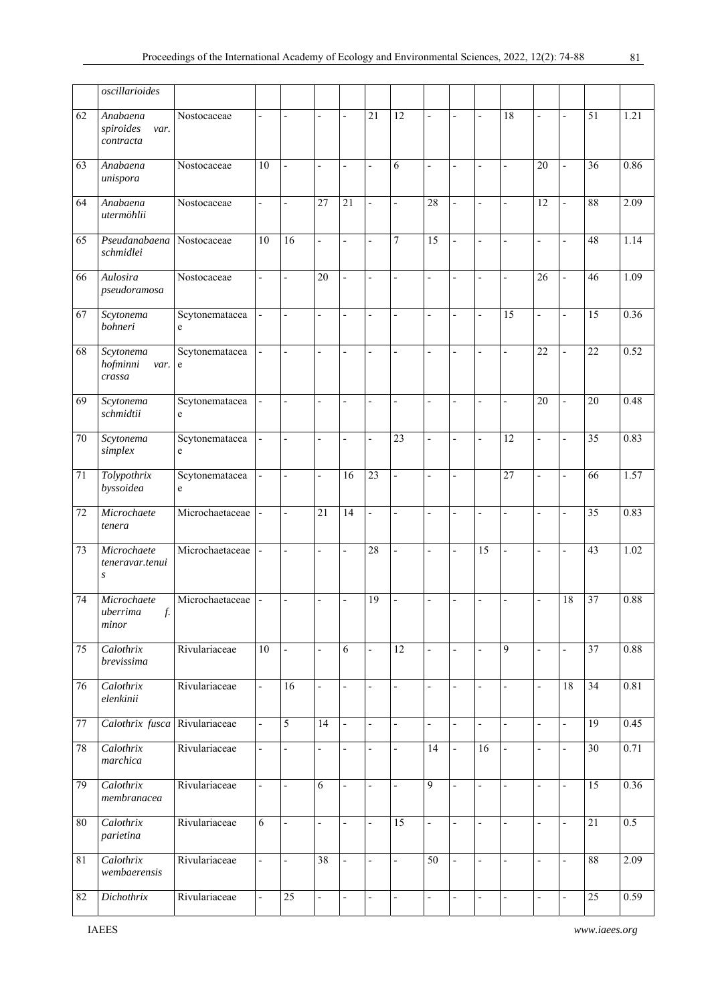|        | oscillarioides                                     |                                  |                          |                          |                              |                          |                          |                          |                              |                          |                              |                          |                              |                          |                 |      |
|--------|----------------------------------------------------|----------------------------------|--------------------------|--------------------------|------------------------------|--------------------------|--------------------------|--------------------------|------------------------------|--------------------------|------------------------------|--------------------------|------------------------------|--------------------------|-----------------|------|
| 62     | Anabaena                                           | $\overline{\text{N}}$ ostocaceae | $\frac{1}{2}$            |                          | $\qquad \qquad \blacksquare$ | $\overline{a}$           | $\overline{21}$          | $\overline{12}$          | $\overline{\phantom{0}}$     | $\overline{a}$           | $\frac{1}{2}$                | $\overline{18}$          | $\overline{a}$               | $\overline{a}$           | 51              | 1.21 |
|        | spiroides<br>var.<br>contracta                     |                                  |                          |                          |                              |                          |                          |                          |                              |                          |                              |                          |                              |                          |                 |      |
| 63     | Anabaena<br>unispora                               | Nostocaceae                      | 10                       | $\overline{a}$           | $\blacksquare$               | $\overline{a}$           | $\overline{a}$           | 6                        | $\overline{a}$               | $\overline{a}$           | ÷,                           | $\overline{a}$           | 20                           | $\overline{a}$           | 36              | 0.86 |
| 64     | Anabaena<br>utermöhlii                             | Nostocaceae                      | $\frac{1}{2}$            | $\overline{a}$           | $\overline{27}$              | $\overline{21}$          | L,                       | $\overline{a}$           | $\overline{28}$              |                          | L                            | $\overline{a}$           | 12                           |                          | 88              | 2.09 |
| 65     | Pseudanabaena<br>schmidlei                         | Nostocaceae                      | $\overline{10}$          | 16                       | $\overline{\phantom{a}}$     | $\overline{\phantom{0}}$ | $\blacksquare$           | 7                        | $\overline{15}$              | $\overline{a}$           | $\frac{1}{2}$                | $\overline{a}$           | $\blacksquare$               | $\overline{\phantom{0}}$ | 48              | 1.14 |
| 66     | Aulosira<br>pseudoramosa                           | Nostocaceae                      | $\overline{\phantom{a}}$ | $\overline{a}$           | 20                           |                          | ÷                        |                          | $\qquad \qquad \blacksquare$ | $\overline{a}$           | $\qquad \qquad \blacksquare$ | $\overline{a}$           | $\overline{26}$              |                          | 46              | 1.09 |
| 67     | Scytonema<br>bohneri                               | Scytonematacea<br>e              | $\blacksquare$           | $\overline{a}$           | $\overline{\phantom{a}}$     | $\overline{\phantom{a}}$ | ÷.                       | $\overline{a}$           | $\overline{\phantom{a}}$     | $\overline{\phantom{0}}$ | $\overline{\phantom{a}}$     | 15                       | $\blacksquare$               | $\overline{\phantom{a}}$ | 15              | 0.36 |
| 68     | Scytonema<br>hofminni<br>var.<br>crassa            | Scytonematacea<br>e              | $\Box$                   | $\overline{a}$           | $\blacksquare$               | $\overline{a}$           | $\overline{a}$           | $\overline{a}$           | $\overline{a}$               | $\overline{a}$           | $\overline{a}$               | $\overline{a}$           | 22                           | $\overline{a}$           | 22              | 0.52 |
| 69     | Scytonema<br>schmidtii                             | Scytonematacea<br>e              | $\overline{\phantom{a}}$ | $\overline{a}$           | $\blacksquare$               | $\overline{\phantom{0}}$ | ÷,                       | $\overline{a}$           | $\frac{1}{2}$                | $\overline{a}$           | $\overline{a}$               | $\overline{a}$           | $\overline{20}$              | $\overline{a}$           | $\overline{20}$ | 0.48 |
| $70\,$ | Scytonema<br>simplex                               | Scytonematacea<br>e              | $\overline{\phantom{0}}$ |                          | ÷,                           |                          | $\overline{a}$           | 23                       | $\overline{a}$               |                          | $\qquad \qquad \blacksquare$ | 12                       | $\frac{1}{2}$                |                          | 35              | 0.83 |
| 71     | Tolypothrix<br>byssoidea                           | Scytonematacea<br>e              | $\overline{\phantom{a}}$ | $\overline{\phantom{a}}$ | $\overline{\phantom{a}}$     | 16                       | 23                       | $\overline{a}$           | $\qquad \qquad \blacksquare$ | $\overline{\phantom{0}}$ |                              | 27                       | $\overline{\phantom{a}}$     | $\overline{a}$           | 66              | 1.57 |
| 72     | Microchaete<br>tenera                              | Microchaetaceae                  | $\blacksquare$           | $\overline{a}$           | $\overline{21}$              | $\overline{14}$          | $\frac{1}{2}$            | $\overline{a}$           | $\qquad \qquad \blacksquare$ | $\overline{a}$           | $\overline{a}$               | $\overline{a}$           | $\overline{a}$               | $\overline{a}$           | $\overline{35}$ | 0.83 |
| 73     | Microchaete<br>teneravar.tenui<br>$\boldsymbol{S}$ | Microchaetaceae                  | $\blacksquare$           | $\overline{a}$           | $\overline{\phantom{a}}$     | $\overline{a}$           | 28                       | $\overline{a}$           | $\overline{\phantom{0}}$     |                          | $\overline{15}$              | $\overline{a}$           | $\frac{1}{2}$                |                          | 43              | 1.02 |
| 74     | Microchaete<br>uberrima<br>f.<br>minor             | Microchaetaceae                  | $\frac{1}{2}$            | ÷,                       | $\overline{\phantom{a}}$     | -                        | 19                       | $\overline{a}$           | $\qquad \qquad \blacksquare$ | $\overline{a}$           | ÷,                           | $\overline{\phantom{0}}$ | $\frac{1}{2}$                | 18                       | $\overline{37}$ | 0.88 |
| 75     | Calothrix<br>brevissima                            | Rivulariaceae                    | 10                       | $\overline{\phantom{a}}$ | $\overline{\phantom{a}}$     | 6                        | $\overline{\phantom{a}}$ | 12                       | $\overline{\phantom{a}}$     | $\frac{1}{2}$            | $\qquad \qquad \blacksquare$ | 9                        | $\overline{\phantom{a}}$     | $\frac{1}{2}$            | 37              | 0.88 |
| 76     | Calothrix<br>elenkinii                             | Rivulariaceae                    | $\blacksquare$           | 16                       | $\overline{\phantom{a}}$     | $\overline{\phantom{a}}$ | $\overline{\phantom{a}}$ | $\overline{\phantom{a}}$ | $\overline{\phantom{a}}$     | $\overline{a}$           | $\overline{\phantom{a}}$     | $\overline{\phantom{a}}$ | $\overline{\phantom{a}}$     | 18                       | $\overline{34}$ | 0.81 |
| $77\,$ | Calothrix fusca                                    | Rivulariaceae                    | $\frac{1}{2}$            | 5                        | 14                           | $\overline{a}$           | $\frac{1}{2}$            | $\overline{a}$           | $\frac{1}{2}$                | $\overline{a}$           | $\overline{a}$               | $\overline{a}$           | $\bar{\phantom{a}}$          | $\overline{a}$           | 19              | 0.45 |
| 78     | Calothrix<br>marchica                              | Rivulariaceae                    | $\Box$                   | $\overline{a}$           | $\blacksquare$               | $\blacksquare$           | $\overline{\phantom{a}}$ | $\overline{a}$           | 14                           | $\overline{\phantom{a}}$ | $\overline{16}$              | $\blacksquare$           | $\overline{\phantom{a}}$     | $\overline{\phantom{0}}$ | $\overline{30}$ | 0.71 |
| 79     | Calothrix<br>membranacea                           | Rivulariaceae                    | $\blacksquare$           | $\overline{a}$           | 6                            | 4                        | $\overline{\phantom{a}}$ | $\blacksquare$           | $\overline{9}$               | $\overline{\phantom{0}}$ | $\overline{\phantom{a}}$     | $\overline{\phantom{a}}$ | $\overline{\phantom{a}}$     | $\overline{\phantom{a}}$ | $\overline{15}$ | 0.36 |
| $80\,$ | Calothrix<br>parietina                             | Rivulariaceae                    | 6                        | $\overline{\phantom{a}}$ | $\overline{\phantom{a}}$     | -                        | $\overline{\phantom{a}}$ | 15                       | $\overline{\phantom{a}}$     | $\overline{\phantom{0}}$ | $\overline{\phantom{a}}$     | $\overline{\phantom{a}}$ | $\overline{\phantom{a}}$     | $\overline{\phantom{a}}$ | 21              | 0.5  |
| 81     | Calothrix<br>wembaerensis                          | Rivulariaceae                    | $\overline{\phantom{a}}$ | $\overline{a}$           | 38                           | $\overline{a}$           | $\overline{\phantom{0}}$ | $\overline{a}$           | 50                           | $\overline{a}$           | $\overline{\phantom{a}}$     | $\overline{a}$           | $\overline{\phantom{a}}$     | $\overline{a}$           | $\overline{88}$ | 2.09 |
| 82     | Dichothrix                                         | Rivulariaceae                    | $\blacksquare$           | $\overline{25}$          | $\overline{\phantom{0}}$     | $\overline{a}$           | $\frac{1}{2}$            | $\overline{a}$           | $\overline{\phantom{0}}$     |                          | $\qquad \qquad \blacksquare$ | $\overline{\phantom{0}}$ | $\qquad \qquad \blacksquare$ |                          | $\overline{25}$ | 0.59 |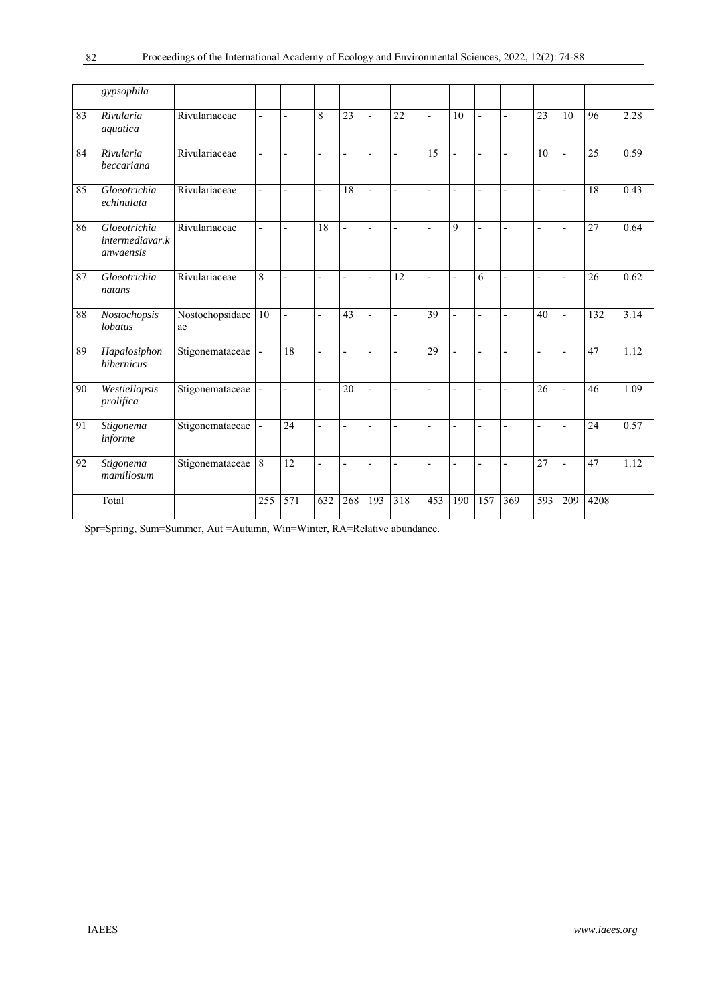|    | gypsophila                                   |                       |                          |                  |                          |                |                          |                          |                          |                |                          |                |                          |                |      |      |
|----|----------------------------------------------|-----------------------|--------------------------|------------------|--------------------------|----------------|--------------------------|--------------------------|--------------------------|----------------|--------------------------|----------------|--------------------------|----------------|------|------|
| 83 | Rivularia<br>aquatica                        | Rivulariaceae         | Ĭ.                       | $\overline{a}$   | 8                        | 23             | $\overline{a}$           | $\overline{22}$          | L,                       | 10             | $\overline{a}$           | $\overline{a}$ | $\overline{23}$          | 10             | 96   | 2.28 |
| 84 | Rivularia<br>beccariana                      | Rivulariaceae         | $\overline{a}$           | $\overline{a}$   | $\overline{\phantom{0}}$ | $\overline{a}$ | $\overline{\phantom{a}}$ | $\frac{1}{2}$            | 15                       | $\overline{a}$ | $\overline{a}$           | $\overline{a}$ | 10                       | $\overline{a}$ | 25   | 0.59 |
| 85 | Gloeotrichia<br>echinulata                   | Rivulariaceae         | $\overline{\phantom{0}}$ |                  | $\overline{\phantom{a}}$ | 18             | $\blacksquare$           | $\overline{a}$           | $\overline{\phantom{a}}$ | $\overline{a}$ | $\overline{a}$           | $\overline{a}$ | $\blacksquare$           | L,             | 18   | 0.43 |
| 86 | Gloeotrichia<br>intermediavar.k<br>anwaensis | Rivulariaceae         | $\overline{a}$           | $\overline{a}$   | 18                       | $\overline{a}$ | $\overline{a}$           | $\overline{a}$           | $\overline{a}$           | 9              | L,                       | $\overline{a}$ |                          |                | 27   | 0.64 |
| 87 | Gloeotrichia<br>natans                       | Rivulariaceae         | 8                        | $\overline{a}$   | $\overline{\phantom{a}}$ | $\overline{a}$ | $\blacksquare$           | 12                       | $\overline{a}$           | $\overline{a}$ | 6                        | $\overline{a}$ | $\overline{a}$           | L,             | 26   | 0.62 |
| 88 | Nostochopsis<br>lobatus                      | Nostochopsidace<br>ae | $10\,$                   | $\overline{a}$   | $\overline{\phantom{0}}$ | 43             |                          | $\overline{a}$           | $\overline{39}$          | $\overline{a}$ |                          | $\overline{a}$ | 40                       |                | 132  | 3.14 |
| 89 | Hapalosiphon<br>hibernicus                   | Stigonemataceae       | $\overline{\phantom{a}}$ | 18               | $\overline{\phantom{a}}$ | $\overline{a}$ | $\overline{\phantom{a}}$ | $\overline{a}$           | 29                       | Ĭ.             | $\overline{a}$           | $\overline{a}$ | $\overline{\phantom{0}}$ | $\overline{a}$ | 47   | 1.12 |
| 90 | Westiellopsis<br>prolifica                   | Stigonemataceae       | $\overline{\phantom{a}}$ | $\overline{a}$   | $\overline{\phantom{a}}$ | 20             | $\overline{a}$           | $\overline{a}$           | $\overline{a}$           | $\overline{a}$ | L,                       | $\overline{a}$ | 26                       | L,             | 46   | 1.09 |
| 91 | Stigonema<br>informe                         | Stigonemataceae       | $\overline{\phantom{a}}$ | 24               | $\overline{a}$           | $\overline{a}$ | $\overline{\phantom{0}}$ | $\overline{\phantom{0}}$ | $\overline{\phantom{m}}$ | Ĭ.             | $\overline{a}$           | $\overline{a}$ | L,                       |                | 24   | 0.57 |
| 92 | Stigonema<br>mamillosum                      | Stigonemataceae       | $\overline{8}$           | 12               | $\overline{\phantom{0}}$ | $\overline{a}$ | $\overline{\phantom{0}}$ | ÷,                       | $\overline{\phantom{a}}$ | $\overline{a}$ | $\overline{\phantom{0}}$ | $\overline{a}$ | 27                       |                | 47   | 1.12 |
|    | Total                                        |                       | 255                      | $\overline{571}$ | 632                      | 268            | 193                      | 318                      | 453                      | 190            | 157                      | 369            | 593                      | 209            | 4208 |      |

Spr=Spring, Sum=Summer, Aut =Autumn, Win=Winter, RA=Relative abundance.

82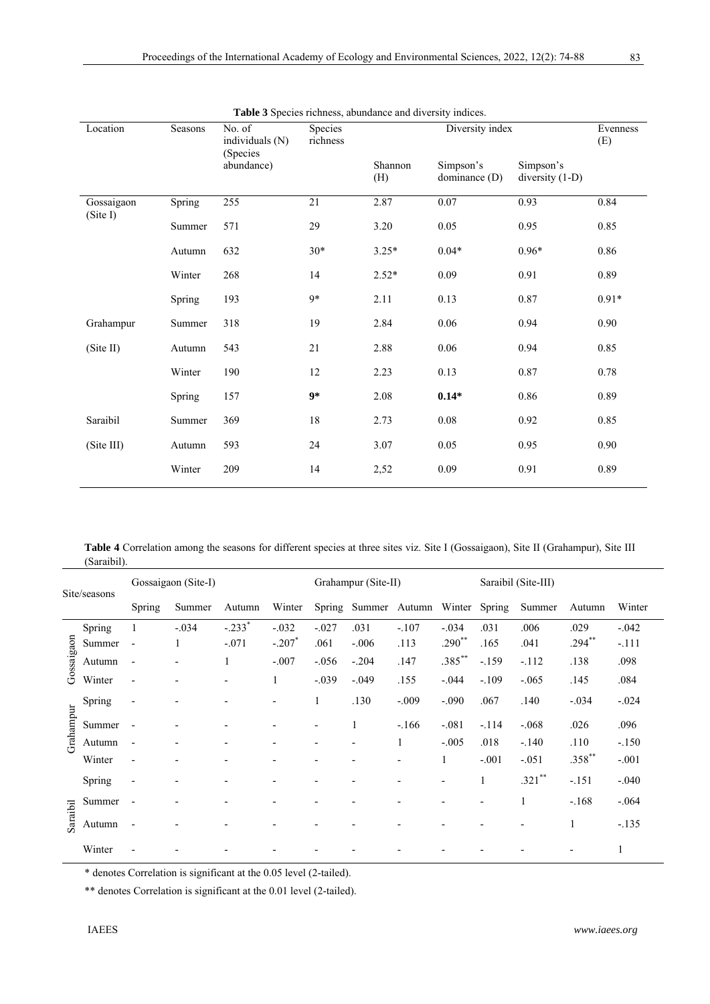| Location   | Seasons | No. of<br>individuals (N) | Species<br>richness |                | Diversity index            |                                | Evenness<br>(E) |
|------------|---------|---------------------------|---------------------|----------------|----------------------------|--------------------------------|-----------------|
|            |         | (Species<br>abundance)    |                     | Shannon<br>(H) | Simpson's<br>dominance (D) | Simpson's<br>diversity $(1-D)$ |                 |
| Gossaigaon | Spring  | 255                       | 21                  | 2.87           | 0.07                       | 0.93                           | 0.84            |
| (Site I)   | Summer  | 571                       | 29                  | 3.20           | 0.05                       | 0.95                           | 0.85            |
|            | Autumn  | 632                       | $30*$               | $3.25*$        | $0.04*$                    | $0.96*$                        | 0.86            |
|            | Winter  | 268                       | 14                  | $2.52*$        | 0.09                       | 0.91                           | 0.89            |
|            | Spring  | 193                       | $9*$                | 2.11           | 0.13                       | 0.87                           | $0.91*$         |
| Grahampur  | Summer  | 318                       | 19                  | 2.84           | 0.06                       | 0.94                           | 0.90            |
| (Site II)  | Autumn  | 543                       | 21                  | 2.88           | 0.06                       | 0.94                           | 0.85            |
|            | Winter  | 190                       | 12                  | 2.23           | 0.13                       | 0.87                           | 0.78            |
|            | Spring  | 157                       | $9*$                | 2.08           | $0.14*$                    | 0.86                           | 0.89            |
| Saraibil   | Summer  | 369                       | $18\,$              | 2.73           | $0.08\,$                   | 0.92                           | 0.85            |
| (Site III) | Autumn  | 593                       | 24                  | 3.07           | 0.05                       | 0.95                           | 0.90            |
|            | Winter  | 209                       | 14                  | 2,52           | 0.09                       | 0.91                           | 0.89            |

**Table 3** Species richness, abundance and diversity indices.

**Table 4** Correlation among the seasons for different species at three sites viz. Site I (Gossaigaon), Site II (Grahampur), Site III (Saraibil).

|            | Site/seasons |                          | Gossaigaon (Site-I)      |                          |                          |                          | Grahampur (Site-II)  |         |                          | Saraibil (Site-III) |           |           |         |  |
|------------|--------------|--------------------------|--------------------------|--------------------------|--------------------------|--------------------------|----------------------|---------|--------------------------|---------------------|-----------|-----------|---------|--|
|            |              | Spring                   | Summer                   | Autumn                   | Winter                   | Spring                   | Summer Autumn Winter |         |                          | Spring              | Summer    | Autumn    | Winter  |  |
|            | Spring       |                          | $-.034$                  | $-.233*$                 | $-.032$                  | $-.027$                  | .031                 | $-.107$ | $-.034$                  | .031                | .006      | .029      | $-.042$ |  |
|            | Summer       | $\overline{\phantom{a}}$ |                          | $-.071$                  | $-.207*$                 | .061                     | $-.006$              | .113    | $.290**$                 | .165                | .041      | $.294***$ | $-.111$ |  |
| Gossaigaon | Autumn       | $\overline{\phantom{a}}$ |                          | 1                        | $-.007$                  | $-.056$                  | $-.204$              | .147    | $.385***$                | $-.159$             | $-.112$   | .138      | .098    |  |
|            | Winter       | $\overline{\phantom{a}}$ |                          | $\overline{\phantom{0}}$ | 1                        | $-.039$                  | $-.049$              | .155    | $-.044$                  | $-.109$             | $-.065$   | .145      | .084    |  |
|            | Spring       | $\overline{\phantom{a}}$ |                          |                          |                          | 1                        | .130                 | $-.009$ | $-.090$                  | .067                | .140      | $-.034$   | $-.024$ |  |
| Grahampur  | Summer       |                          |                          |                          |                          | $\blacksquare$           | 1                    | $-166$  | $-.081$                  | $-.114$             | $-.068$   | .026      | .096    |  |
|            | Autumn       | $\overline{\phantom{a}}$ |                          | $\overline{\phantom{0}}$ | $\overline{\phantom{0}}$ | $\overline{\phantom{a}}$ | ۰                    | 1       | $-.005$                  | .018                | $-.140$   | .110      | $-.150$ |  |
|            | Winter       | $\overline{\phantom{a}}$ |                          |                          |                          |                          |                      |         |                          | $-.001$             | $-.051$   | $.358***$ | $-.001$ |  |
|            | Spring       | $\overline{\phantom{a}}$ | $\overline{\phantom{0}}$ | $\overline{\phantom{0}}$ | $\overline{\phantom{0}}$ | $\overline{\phantom{a}}$ |                      |         | $\overline{a}$           | 1                   | $.321$ ** | $-.151$   | $-.040$ |  |
|            | Summer       | $\overline{\phantom{a}}$ |                          |                          |                          |                          |                      |         | $\overline{\phantom{0}}$ | $\overline{a}$      | 1         | $-.168$   | $-.064$ |  |
| Saraibil   | Autumn       |                          |                          |                          |                          |                          |                      |         |                          |                     |           |           | $-.135$ |  |
|            | Winter       |                          |                          |                          |                          |                          |                      |         |                          |                     |           |           | 1       |  |

\* denotes Correlation is significant at the 0.05 level (2-tailed).

\*\* denotes Correlation is significant at the 0.01 level (2-tailed).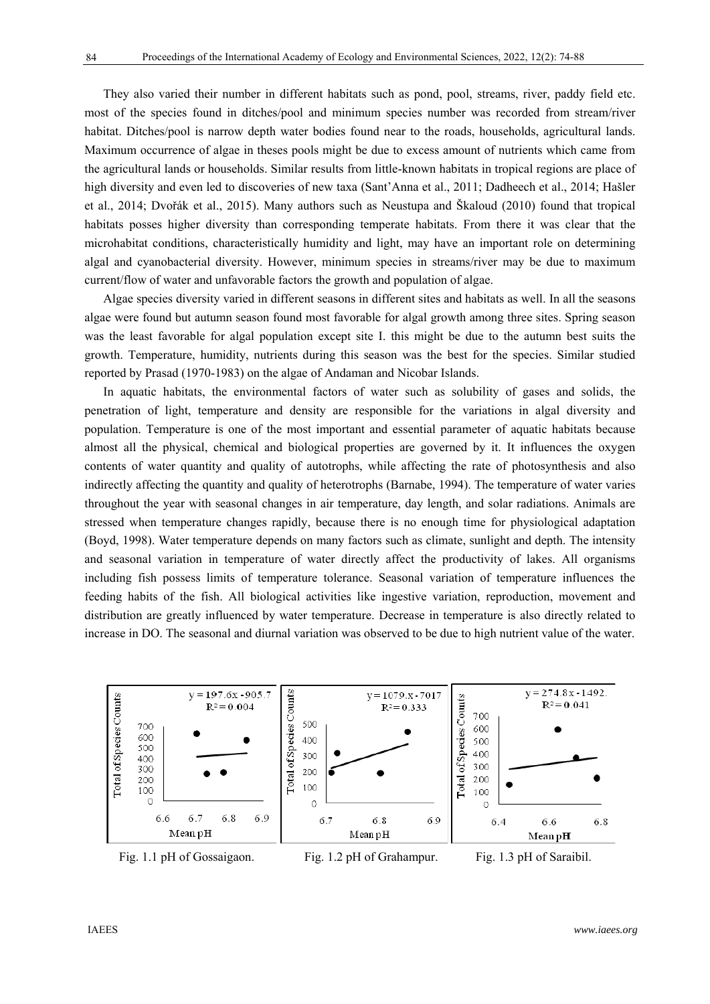They also varied their number in different habitats such as pond, pool, streams, river, paddy field etc. most of the species found in ditches/pool and minimum species number was recorded from stream/river habitat. Ditches/pool is narrow depth water bodies found near to the roads, households, agricultural lands. Maximum occurrence of algae in theses pools might be due to excess amount of nutrients which came from the agricultural lands or households. Similar results from little-known habitats in tropical regions are place of high diversity and even led to discoveries of new taxa (Sant'Anna et al., 2011; Dadheech et al., 2014; Hašler et al., 2014; Dvořák et al., 2015). Many authors such as Neustupa and Škaloud (2010) found that tropical habitats posses higher diversity than corresponding temperate habitats. From there it was clear that the microhabitat conditions, characteristically humidity and light, may have an important role on determining algal and cyanobacterial diversity. However, minimum species in streams/river may be due to maximum current/flow of water and unfavorable factors the growth and population of algae.

Algae species diversity varied in different seasons in different sites and habitats as well. In all the seasons algae were found but autumn season found most favorable for algal growth among three sites. Spring season was the least favorable for algal population except site I. this might be due to the autumn best suits the growth. Temperature, humidity, nutrients during this season was the best for the species. Similar studied reported by Prasad (1970-1983) on the algae of Andaman and Nicobar Islands.

In aquatic habitats, the environmental factors of water such as solubility of gases and solids, the penetration of light, temperature and density are responsible for the variations in algal diversity and population. Temperature is one of the most important and essential parameter of aquatic habitats because almost all the physical, chemical and biological properties are governed by it. It influences the oxygen contents of water quantity and quality of autotrophs, while affecting the rate of photosynthesis and also indirectly affecting the quantity and quality of heterotrophs (Barnabe, 1994). The temperature of water varies throughout the year with seasonal changes in air temperature, day length, and solar radiations. Animals are stressed when temperature changes rapidly, because there is no enough time for physiological adaptation (Boyd, 1998). Water temperature depends on many factors such as climate, sunlight and depth. The intensity and seasonal variation in temperature of water directly affect the productivity of lakes. All organisms including fish possess limits of temperature tolerance. Seasonal variation of temperature influences the feeding habits of the fish. All biological activities like ingestive variation, reproduction, movement and distribution are greatly influenced by water temperature. Decrease in temperature is also directly related to increase in DO. The seasonal and diurnal variation was observed to be due to high nutrient value of the water.



Fig. 1.1 pH of Gossaigaon. Fig. 1.2 pH of Grahampur. Fig. 1.3 pH of Saraibil.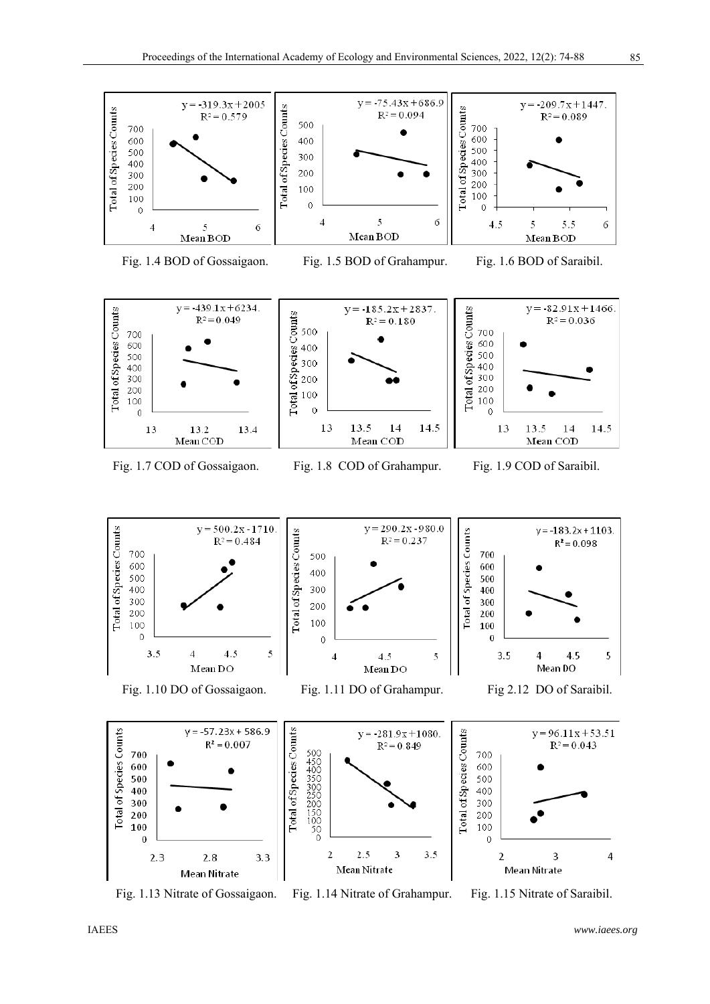



Fig. 1.7 COD of Gossaigaon. Fig. 1.8 COD of Grahampur. Fig. 1.9 COD of Saraibil.

13.5

Mean COD

14

14.5

13

200 Total<sub>6</sub>

100  $\overline{0}$ 

13

13.5

Mean COD

 $14$ 

14.5

500 400 300

200 100

¢

13

13.2

Mean COD

13.4

Fig. 1.13 Nitrate of Gossaigaon. Fig. 1.14 Nitrate of Grahampur. Fig. 1.15 Nitrate of Saraibil.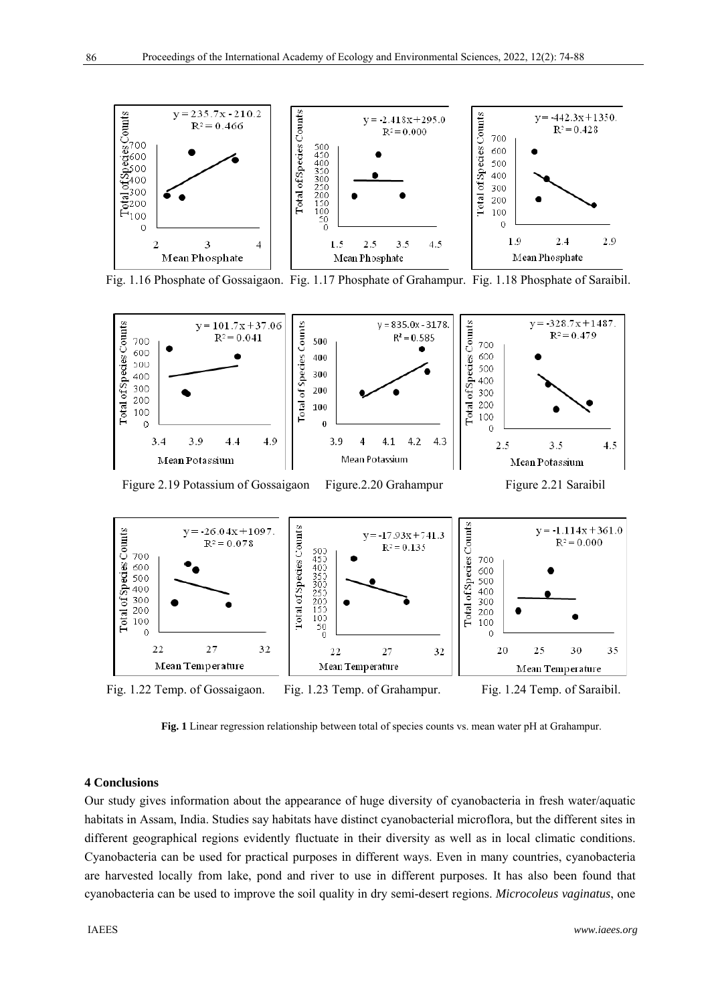

Fig. 1.16 Phosphate of Gossaigaon. Fig. 1.17 Phosphate of Grahampur. Fig. 1.18 Phosphate of Saraibil.



Figure 2.19 Potassium of Gossaigaon Figure.2.20 Grahampur Figure 2.21 Saraibil





**Fig. 1** Linear regression relationship between total of species counts vs. mean water pH at Grahampur.

#### **4 Conclusions**

Our study gives information about the appearance of huge diversity of cyanobacteria in fresh water/aquatic habitats in Assam, India. Studies say habitats have distinct cyanobacterial microflora, but the different sites in different geographical regions evidently fluctuate in their diversity as well as in local climatic conditions. Cyanobacteria can be used for practical purposes in different ways. Even in many countries, cyanobacteria are harvested locally from lake, pond and river to use in different purposes. It has also been found that cyanobacteria can be used to improve the soil quality in dry semi-desert regions. *Microcoleus vaginatus*, one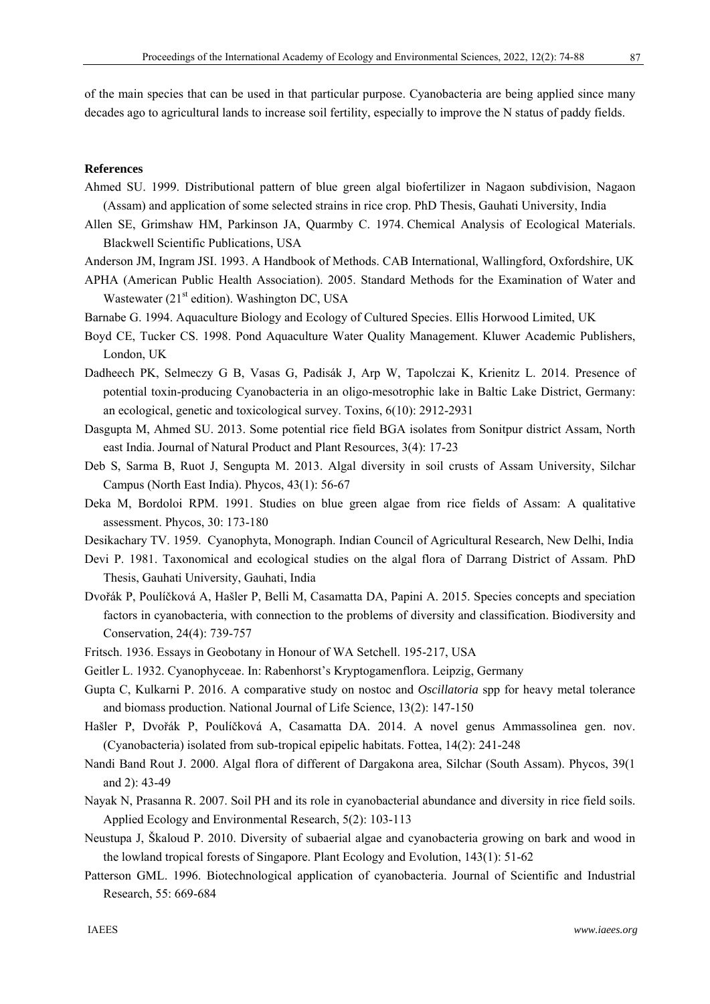of the main species that can be used in that particular purpose. Cyanobacteria are being applied since many decades ago to agricultural lands to increase soil fertility, especially to improve the N status of paddy fields.

# **References**

- Ahmed SU. 1999. Distributional pattern of blue green algal biofertilizer in Nagaon subdivision, Nagaon (Assam) and application of some selected strains in rice crop. PhD Thesis, Gauhati University, India
- Allen SE, Grimshaw HM, Parkinson JA, Quarmby C. 1974. Chemical Analysis of Ecological Materials. Blackwell Scientific Publications, USA
- Anderson JM, Ingram JSI. 1993. A Handbook of Methods. CAB International, Wallingford, Oxfordshire, UK
- APHA (American Public Health Association). 2005. Standard Methods for the Examination of Water and Wastewater  $(21<sup>st</sup>$  edition). Washington DC, USA
- Barnabe G. 1994. Aquaculture Biology and Ecology of Cultured Species. Ellis Horwood Limited, UK
- Boyd CE, Tucker CS. 1998. Pond Aquaculture Water Quality Management. Kluwer Academic Publishers, London, UK
- Dadheech PK, Selmeczy G B, Vasas G, Padisák J, Arp W, Tapolczai K, Krienitz L. 2014. Presence of potential toxin-producing Cyanobacteria in an oligo-mesotrophic lake in Baltic Lake District, Germany: an ecological, genetic and toxicological survey. Toxins, 6(10): 2912-2931
- Dasgupta M, Ahmed SU. 2013. Some potential rice field BGA isolates from Sonitpur district Assam, North east India. Journal of Natural Product and Plant Resources, 3(4): 17-23
- Deb S, Sarma B, Ruot J, Sengupta M. 2013. Algal diversity in soil crusts of Assam University, Silchar Campus (North East India). Phycos, 43(1): 56-67
- Deka M, Bordoloi RPM. 1991. Studies on blue green algae from rice fields of Assam: A qualitative assessment. Phycos, 30: 173-180
- Desikachary TV. 1959. Cyanophyta, Monograph. Indian Council of Agricultural Research, New Delhi, India
- Devi P. 1981. Taxonomical and ecological studies on the algal flora of Darrang District of Assam. PhD Thesis, Gauhati University, Gauhati, India
- Dvořák P, Poulíčková A, Hašler P, Belli M, Casamatta DA, Papini A. 2015. Species concepts and speciation factors in cyanobacteria, with connection to the problems of diversity and classification. Biodiversity and Conservation, 24(4): 739-757
- Fritsch. 1936. Essays in Geobotany in Honour of WA Setchell. 195-217, USA
- Geitler L. 1932. Cyanophyceae. In: Rabenhorst's Kryptogamenflora. Leipzig, Germany
- Gupta C, Kulkarni P. 2016. A comparative study on nostoc and *Oscillatoria* spp for heavy metal tolerance and biomass production. National Journal of Life Science, 13(2): 147-150
- Hašler P, Dvořák P, Poulíčková A, Casamatta DA. 2014. A novel genus Ammassolinea gen. nov. (Cyanobacteria) isolated from sub-tropical epipelic habitats. Fottea, 14(2): 241-248
- Nandi Band Rout J. 2000. Algal flora of different of Dargakona area, Silchar (South Assam). Phycos, 39(1 and 2): 43-49
- Nayak N, Prasanna R. 2007. Soil PH and its role in cyanobacterial abundance and diversity in rice field soils. Applied Ecology and Environmental Research, 5(2): 103-113
- Neustupa J, Škaloud P. 2010. Diversity of subaerial algae and cyanobacteria growing on bark and wood in the lowland tropical forests of Singapore. Plant Ecology and Evolution, 143(1): 51-62
- Patterson GML. 1996. Biotechnological application of cyanobacteria. Journal of Scientific and Industrial Research, 55: 669-684